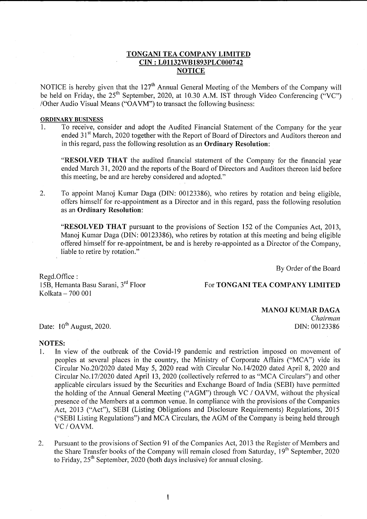## TONGANI TEA COMPANY LIMITED CIN : L01 132W81893PLC0007 42 **NOTICE**

NOTICE is hereby given that the 127<sup>th</sup> Annual General Meeting of the Members of the Company will be held on Friday, the  $25<sup>th</sup>$  September, 2020, at 10.30 A.M. IST through Video Conferencing ("VC") /Other Audio Visual Means ("OAVM") to transact the following business:

#### ORDINARY BUSINESS

1. To receive, consider and adopt the Audited Financial Statement of the Company for the year ended 31<sup>st</sup> March, 2020 together with the Report of Board of Directors and Auditors thereon and in this regard, pass the following resolution as an Ordinary Resolution:

"RESOLVED THAT the audited financial statement of the Company for the financial year ended March 31,2020 and the reports of the Board of Directors and Auditors thereon laid before this meeting, be and are hereby considered and adopted."

To appoint Manoj Kumar Daga (DIN: 00123386), who retires by rotation and being eligible, offers himself for re-appointment as a Director and in this regard, pass the following resolution as an Ordinary Resolution: 2

"RESOLVED THAT pursuant to the provisions of Section 152 of the Companies Act, 2013, Manoj Kumar Daga (DIN: 00123386), who retires by rotation at this meeting and being eligible offered himself for re-appointment, be and is hereby re-appointed as a Director of the Company, liable to retire by rotation."

By Order of the Board

Regd.Office : l58, Hemanta Basu Sarani, 3'd Floor  $Kolkata - 700001$ 

For TONGANI TEA COMPANY LIMITED

#### MANOJ KUMAR DAGA

Chairman DIN: 00123386

Date:  $10^{th}$  August, 2020.

#### NOTES:

- 1. In view of the outbreak of the Covid-l9 pandemic and restriction imposed on movement of peoples at several places in the country, the Ministry of Corporate Affairs ("MCA") vide its Circular No.2012020 dated May 5,2020 read with Circular No.1412020 dated April 8,2020 and Circular No.1712020 dated April 73,2020 (collectively referred to as "MCA Circulars") and other applicable circulars issued by the Securities and Exchange Board of India (SEBI) have permitted the holding of the Annual General Meeting ("AGM") through VC / OAVM, without the physical presence of the Members at a common venue. In compliance with the provisions of the Companies Act, 2013 ("Act"), SEBI (Listing Obligations and Disclosure Requirements) Regulations, 2015 ("SEBI Listing Regulations") and MCA Circulars, the AGM of the Company is being held through VC / OAVM.
- Pursuant to the provisions of Section 91 of the Companies Act, 2013 the Register of Members and the Share Transfer books of the Company will remain closed from Saturday,  $19<sup>th</sup>$  September, 2020 to Friday,  $25<sup>th</sup>$  September, 2020 (both days inclusive) for annual closing. 2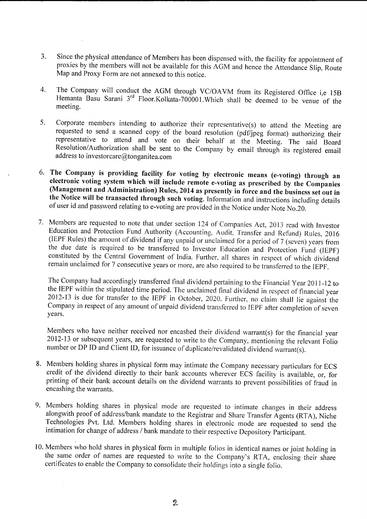- 3. Since the physical attendance of Members has been dispensed with, the facility for appointment of proxies by the members will not be available for this AGM and hence the Attendance Slip, Route Map and Proxy Form are not annexed to this notice.
- 4. The Company will conduct the AGM through VC/OAVM from its Registered Office i,e <sup>158</sup> Hemanta Basu Sarani 3<sup>rd</sup> Floor.Kolkata-700001.Which shall be deemed to be venue of the meeting.
- 5. Corporate members intending to authorize their representative(s) to attend the Meeting are requested to send a scanned copy of the board resolution (pdf/jpeg format) authorizing their representative to attend and vote on their behalf at the Meeting. The said Board Resolution/Authorization shall be sent to the Company by email through its registered email address to investorcare@tonganitea.com
- 6. The Company is providing facility for voting by electronic means (e-voting) through an electronic voting system which will include remote e-voting as prescribed by the Companies (Management and Administration) Rules,
- 7. Members are requested to note that under section 124 of Companies Act, 2013 read with Investor Education and Protection Fund Authority (Accounting, Audit, Transfer and Refund) Rules, 2016 (IEPF Rules) the amount of dividend if any unpaid or unclaimed for a period of 7 (seven) years from the due date is required to be transferred to Investor Education and Protection Fund (IEPF) constituted by the Central Government of India. Further, all shares in respect of which dividend remain unclaimed for 7 consecutive years or more, are also required to be transferred to the IEPF.

The Company had accordingly transferred final dividend pertaining to the Financial Year 2011-12 to the IEPF within the stipulated time period. The unclaimed final dividend in respect of financial year 2012-13 is due for transfer to the IEPF in October, 2020. Further, no claim shall lie against the Company in respect of any amount of unpaid dividend transferred to IEPF after completion of seven years.

Members who have neither received nor encashed their dividend warrant(s) for the financial year 2012-13 or subsequent years, are requested to write to the Company, mentioning the relevant fotio number or DP ID and Client ID, for issuance of duplicate/revalidated dividend warrant(s).

- 8. Members holding shares in physical form may intimate the Company necessary particulars for ECS credit of the dividend directly to their bank accounts wherever ECS facility is available, or, for printing of their bank account details on the dividend warrants to prevent possibilities of fraud in encashing the warrants.
- 9. Members holding shares in physical mode are requested to intimate changes in their address alongwith proof of address/bank mandate to the Registrar and Share Transfer Agents (RTA), Niche Technologies Pvt. Ltd. Members holding shares in electronic mode are requested to send the intimation for change of address / bank mandate to their respective Depository Participant.
- 10. Members who hold shares in physical form in multiple folios in identical names or joint holding in the same order of names are requested to write to the Company's RTA, enclosing their share certificates to enable the Company to consolidate their holdings into a single folio.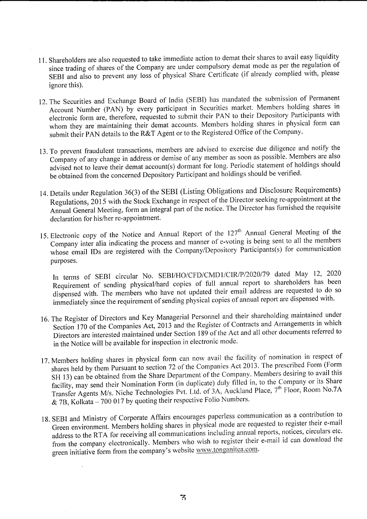- 11. Shareholders are also requested to take immediate action to demat their shares to avail easy liquidity since trading of shares of the Company are under compulsory demat mode as per the regulation of SEBI and also to prevent any loss of physical Share Certificate (if already complied with, please ignore this).
- 12.The Securities and Exchange Board of India (SEBI) has mandated the submission of Permanent Account Number (pAN) by every participant in Securities market. Members holding shares in electronic form are, therefore, requested to submit their PAN to their Depository Participants with whom they are maintaining their demat accounts. Members holding shares in physical form can submit their PAN details to the R&T Agent or to the Registered Office of the Company.
- 13. To prevent fraudulent transactions, members are advised to exercise due diligence and notify the Company of any change in address or demise of any member as soon as possible. Members are also advised not to leave their demat account(s) dormant for long. Periodic statement of holdings should be obtained from the concerned Depository Participant and holdings should be verified.
- 14. Details under Regulation 36(3) of the SEBI (Listing obligations and Disclosure Requirements) Regulations, 2015 with the Stock Exchange in respect of the Director seeking re-appointment at the Annual General Meeting, form an integral part of the notice. The Director has furnished the requisite declaration for his/her re-appointment.
- 15. Electronic copy of the Notice and Annual Report of the 127<sup>th</sup> Annual General Meeting of the Company inter alia indicating the process and manner of e-voting is being sent to all the members whose email IDs are registered with the Company/Depository Participants(s) for communication purposes.

In terms of SEBI circular No. SEBI/HO/CFD/CMD1/CIR/P/2020/79 dated May 12, 2020 Requirement of sending physical/hard copies of full annual report to shareholders has been dispensed with. The members who have not updated their email address are requested to do so immediately since the requirement of sending physical copies of annual report are dispensed with.

- 16. The Register of Directors and Key Managerial Personnel and their shareholding maintained under Section 170 of the Companies Act, 2013 and the Register of Contracts and Arrangements in which Directors are interested maintained under Section 189 of the Act and all other documents referred to in the Notice will be available for inspection in electronic mode.
- 17. Members holding shares in physical form can now avail the facility of nomination in respect of shares held by them Pursuant to section 72 of the Companies Act 2013. The prescribed Form (Form SH 13) can be obtained from the Share Department of the Company. Members desiring to avail this facility, may send their Nomination Form (in duplicate) duly filled in, to the Company or its Share Transfer Agents M/s. Niche Technologies Pvt. Ltd. of 3A, Auckland Place, 7<sup>th</sup> Floor, Room No.7A & 7B, Kolkata - 700 017 by quoting their respective Folio Numbers.
- 1g. SEBI and Ministry of corporate Affairs encourages paperless communication as a contribution to Green environment. Members holding shares in physical mode are requested to register their e-mail address to the RTA for receiving all communications including annual reports, notices, circulars etc. from the company electronically. Members who wish to register their e-mail id can download the green initiative form from the company's website www.tonganitea.com.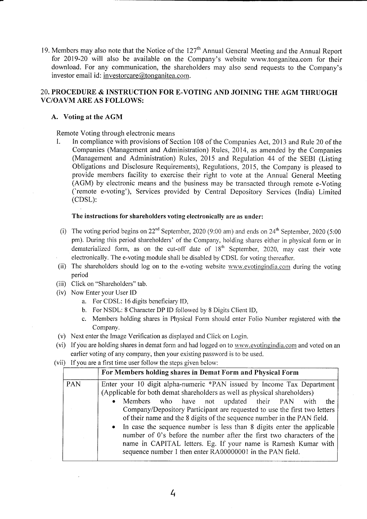19. Members may also note that the Notice of the  $127<sup>th</sup>$  Annual General Meeting and the Annual Report for 2019-20 will also be available on the Company's website www.tonganitea.com for their download. For any communication, the shareholders may also send requests to the Company's investor email id: investorcare@tonganitea.com.

## 20. PROCEDURE & INSTRUCTION FOR E-VOTING AND JOINING THE AGM THRUOGH VC/OAVM ARE AS FOLLOWS:

## A. Voting at the AGM

Remote Voting through electronic means

I. In compliance with provisions of Section 108 of the Companies Act, 2013 and Rule 20 of the Companies (Management and Administration) Rules,2014, as amended by the Companies (Management and Administration) Rules, 2015 and Regulation 44 of the SEBI (Listing Obligations and Disclosure Requirements), Regulations, 2015, the Company is pleased to provide members facility to exercise their right to vote at the Annual General Meeting (AGM) by electronic means and the business may be transacted through remote e-Voting ('remote e-voting'), Services provided by Central Depository Services (India) Limited (cDSL):

## The instructions for shareholders voting electronically are as under:

- (i) The voting period begins on  $22<sup>nd</sup>$  September, 2020 (9:00 am) and ends on  $24<sup>th</sup>$  September, 2020 (5:00 pm). During this period shareholders' of the Company, holding shares either in physical form or in dematerialized form, as on the cut-off date of  $18<sup>th</sup>$  September, 2020, may cast their vote ' electronically. The e-voting module shall be disabled by CDSL for voting thereafter.
- (ii) The shareholders should log on to the e-voting website www.evotingindia.com during the voting period
- (iii) Click on "Shareholders" tab.
- (iv) Now Enter your User ID
	- a. For CDSL: l6 digits beneficiary ID,
	- b. For NSDL: 8 Character DP ID followed by 8 Digits Client ID,
	- c. Members holding shares in Physical Form should enter Folio Number registered with the Company.
- (v) Next enter the Image Verification as displayed and Click on Login.
- (vi) If you are holding shares in demat form and had logged on to www.evotingindia.com and voted on an earlier voting of any company, then your existing password is to be used.
- (vii) If you are a first time user follow the steps given below:

|            | For Members holding shares in Demat Form and Physical Form                                                                                                                                                                                                                                                                                                                                                                                                                                                                                                                                                                                                         |
|------------|--------------------------------------------------------------------------------------------------------------------------------------------------------------------------------------------------------------------------------------------------------------------------------------------------------------------------------------------------------------------------------------------------------------------------------------------------------------------------------------------------------------------------------------------------------------------------------------------------------------------------------------------------------------------|
| <b>PAN</b> | Enter your 10 digit alpha-numeric *PAN issued by Income Tax Department<br>(Applicable for both demat shareholders as well as physical shareholders)<br>Members who have not updated their PAN with<br>the<br>$\bullet$<br>Company/Depository Participant are requested to use the first two letters<br>of their name and the 8 digits of the sequence number in the PAN field.<br>• In case the sequence number is less than 8 digits enter the applicable<br>number of 0's before the number after the first two characters of the<br>name in CAPITAL letters. Eg. If your name is Ramesh Kumar with<br>sequence number 1 then enter RA00000001 in the PAN field. |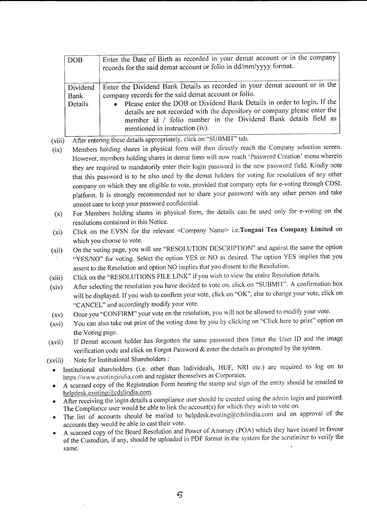| <b>DOB</b>                  | Enter the Date of Birth as recorded in your demat account or in the company<br>records for the said demat account or folio in dd/mm/yyyy format.                                                                                                                                                                                                                                                 |
|-----------------------------|--------------------------------------------------------------------------------------------------------------------------------------------------------------------------------------------------------------------------------------------------------------------------------------------------------------------------------------------------------------------------------------------------|
| Dividend<br>Bank<br>Details | Enter the Dividend Bank Details as recorded in your demat account or in the<br>company records for the said demat account or folio.<br>• Please enter the DOB or Dividend Bank Details in order to login. If the<br>details are not recorded with the depository or company please enter the<br>member id / folio number in the Dividend Bank details field as<br>mentioned in instruction (iv). |

(viii) After entering these details appropriately, click on "SUBMIT" tab.

- $(ix)$ Members holding shares in physical form will then directly reach the Company selection screen. However, members holding shares in demat form will now reach 'Password Creation' menu wherein they are required to mandatorily enter their login password in the new password field. Kindly note that this password is to be also used by the demat holders for voting for resolutions of any other company on which they are eligible to vote, provided that company opts for e-voting through CDSL platform. It is strongly recommended not to share your password with any other person and take utmost care to keep your password confidential.
- (x) For Members holding shares in physical form, the details can be used only for e-voting on the resolutions contained in this Notice.
- (xi) Click on the EVSN for the relevant <Company Name> i.e.Tongani Tea Company Limited on which you choose to vote.
- (xii) On the voting page, you will see "RESOLUTION DESCRIPTION" and against the same the option "YES/NO" for voting. Select the option YES or NO as desired. The option YES implies that you assent to the Resolution and option NO implies that you dissent to the Resolution.
- Click on the "RESOLUTIONS FILE LINK" if you wish to view the entire Resolution details. (xiii)
- After selecting the resolution you have decided to vote on, click on "SUBMIT"' A confirmation box will be displayed. if you wish to confirm your vote, click on "OK", else to change your vote, click on "CANCEL" and accordingly modify your vote. (xiv)
- Once you "CONFIRM" your vote on the resolution, you will not be allowed to modify your vote. (xv)
- You can also take out print of the voting done by you by clicking on "click here to print" option on the Voting page. (xvi)
- If Demat account holder has forgotten the same password then Enter the User lD and the image verification code and click on Forgot Password & enter the details as prompted by the system. (xvii)

(xviii) Note for Institutional Shareholders :

- . Institutional shareholders (i.e. other than Individuals, HUF, NRI etc.) are required to log on to https://www.evotingindia.com and register themselves as Corporates.
- A scanned copy of the Registration Form bearing the stamp and sign of the entity should be emailed to helpdesk. evoting  $Q$ cdslindia. com.
- After receiving the login details a compliance user should be created using the admin login and password. The Compliance user would be able to link the account(s) for which they wish to vote on.
- . The list of accounts should be mailed to helpdesk.evoting@cdslindia.com and on approval of the accounts they would be able to cast their vote.
- . A scanned copy of the Board Resolution and Power of Attorney (POA) which they have issued in favour of the Custodian, if any, should be uploaded in PDF format in the system for the scrutinizer to verify the same.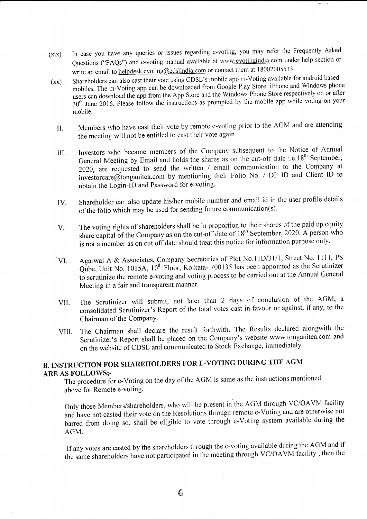- (xix) In case you have any queries or issues regarding e-voting, you may refer the Frequently Asked Questions ("FAQs") and e-voting manual available at www.evotingindia.com under help section or write an email to helpdesk.evoting@cdslindia.com or contact them at 18002005533.
- (xx) Shareholders can also cast their vote using CDSL's mobile app m-voting available for android based mobiles. The m-Voting app can be downloaded from Google Play Store. iPhone and Windows phone users can download the app from the App Store and the Windows Phone Store respectively on or after 30<sup>th</sup> June 2016. Please follow the instructions as prompted by the mobile app while voting on your mobile.
	- II. Members who have cast their vote by remote e-voting prior to the AGM and are attending the meeting will not be entitled to cast their vote again.
	- III. Investors who became members of the Company subsequent to the Notice of Annual General Meeting by Email and holds the shares as on the cut-off date i.e.18<sup>th</sup> September, 2020, are requested to send the written / email communication to the Company at investorcare@ionganitea.com by mentioning their Folio No. / DP lD and Client tD to obtain the Login-ID and Password for e-voting'
	- IV. Shareholder can also update his/her mobile number and email id in the user profile details of the folio which may be used for sending future communication(s).
	- V. The voting rights of shareholders shall be in proportion to their shares of the paid up equity share capital of the Company as on the cut-off date of  $18<sup>th</sup>$  September, 2020. A person who is not a member as on cut off date should treat this notice for information purpose only.
	- VI. Agarwal A & Associates, Company Secretaries of Plot No.11D/31/1, Street No. 1111, PS Qube, Unit No. 1015A, 10<sup>th</sup> Floor, Kolkata- 700135 has been appointed as the Scrutinizer to scrutinize the remote e-voting and voting process to be carried out at the Annual General Meeting in a fair and transparent manner.
	- VII. The Scrutinizer will submit, not later than 2 days of conclusion of the AGM, <sup>a</sup> consolidated Scrutinizer's Report of the total votes cast in favour or against, if any, to the Chairman of the Company.
	- VIII. The Chairman shall declare the result forthwith. The Results declared alongwith the Scrutinizer's Report shall be placed on the Company's website www.tonganitea.com and on the website of CDSL and communicated to Stock Exchange, immediately.

# B. INSTRUCTION FOR SHAREHOLDERS FOR E-VOTING DURING TIIE AGM ARE AS FOLLOWS;-

The procedure for e-Voting on the day of the AGM is same as the instructions mentioned above for Remote e-voting.

Only those Members/shareholders, who will be present in the AGM through VC/OAVM facility and have not casted their vote on the Resolutions through remote e-Voting and are otherwise not barred from doing so, shall be eligible to vote through e-Voting system available during the AGM.

If any votes are casted by the shareholders through the e-voting available during the AGM and if the same shareholders have not participated in the meeting through VC/OAVM facility, then the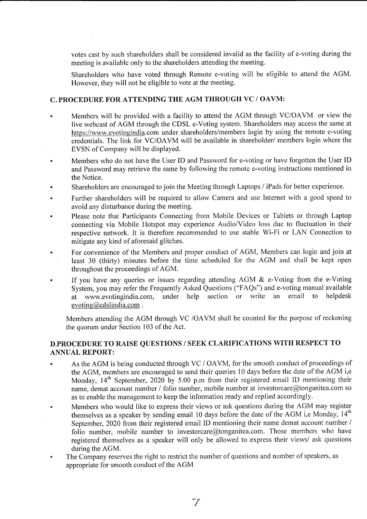votes cast by such shareholders shall be considered invalid as the facility of e-voting during the meeting is available only to the shareholders attending the meeting.

Shareholders who have voted through Remote e-voting will be eligible to attend the AGM. However, they will not be eligible to vote at the meeting.

# C. PROCEDURE FOR ATTENDING THE AGM THROUGH VC / OAVM:

- a Members will be provided with a facility to attend the AGM through VC/OAVM or view the live webcast of AGM through the CDSL e-Voting system. Shareholders may access the same at https://www.evotingindia.com under shareholders/members login by using the remote e-voting credentials. The link for VC/OAVM will be available in shareholder/ members login where the EVSN of Company will be displayed.
- Members who do not have the User ID and Password for e-voting or have forgotten the User ID and Password may retrieve the same by following the remote e-voting instructions mentioned in the Notice.
- Shareholders are encouraged to join the Meeting through Laptops / iPads for better experience. a
- Further shareholders will be required to allow Camera and use Internet with a good speed to avoid any disturbance during the meeting.
- Please note that Participants Connecting from Mobile Devices or Tablets or through Laptop connecting via Mobile Hotspot may experience Audio/Video loss due to fluctuation in their respective network. It is therefore recommended to use stable Wi-Fi or LAN Connection to mitigate any kind of aforesaid glitches. a
- For convenience of the Members and proper conduct of AGM, Members can login and join at least 30 (thirty) minutes before the time scheduled for the AGM and shall be kept open throughout the proceedings of AGM. o
- If you have any queries or issues regarding attending AGM & e-Voting from the e-Voting System, you may refer the Frequently Asked Questions ("FAQs") and e-voting manual available<br>at www.evotingindia.com. under help section or write an email to helpdesk at www.evotingindia.com, under help section or write evoting@cdslindia.com. a

Members attending the AGM through VC /OAVM shall be counted for the purpose of reckoning the quorum under Section 103 of the Act.

# D.PROCEDURE TO RAISE QUESTIONS / SEEK CLARIFICATIONS WITH RESPECT TO ANNUAL REPORT:

- . As the AGM is being conducted through VC / OAVM, for the smooth conduct of proceedings of the AGM, members are encouraged to send their queries 10 days before the date of the AGM i,e Monday, 14<sup>th</sup> September, 2020 by 5.00 p.m from their registered email ID mentioning their name, demat account number / folio number, mobile number at investorcare@tonganitea.com so as to enable the management to keep the information ready and replied accordingly.
- . Members who would like to express their views or ask questions during the AGM may register themselves as a speaker by sending email 10 days before the date of the AGM i,e Monday,  $14<sup>th</sup>$ September, 2020 from their registered email ID mentioning their name demat account number / folio number, mobile number to investorcare@tonganitea.com. Those members who have registered themselves as a speaker will only be allowed to express their views/ ask questions during the AGM.
- . The Company reserves the right to restrict the number of questions and number of speakers, as appropriate for smooth conduct of the AGM